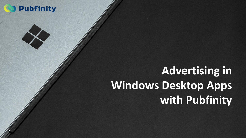## **Pubfinity**

# **Advertising in Windows Desktop Apps with Pubfinity**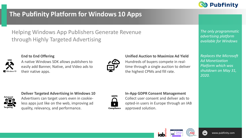

### **The Pubfinity Platform for Windows 10 Apps**

Helping Windows App Publishers Generate Revenue through Highly Targeted Advertising



### **End to End Offering**





#### **Unified Auction to Maximize Ad Yield**

Hundreds of buyers compete in realtime through a single auction to deliver the highest CPMs and fill rate.

*The only programmatic advertising platform available for Windows*

*Replaces the Microsoft Ad Monetization Platform which was shutdown on May 31, 2020.*



#### **Deliver Targeted Advertising in Windows 10**

Advertisers can target users even in cookieless apps just like on the web, improving ad quality, relevancy, and performance.



### **In-App GDPR Consent Management**  Collect user consent and deliver ads to opted-in users in Europe through an IAB approved solution.



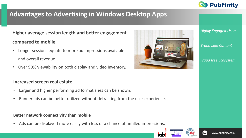

### **Advantages to Advertising in Windows Desktop Apps**

**Higher average session length and better engagement compared to mobile** 

- Longer sessions equate to more ad impressions available and overall revenue.
- Over 90% viewability on both display and video inventory.

### **Increased screen real estate**

- Larger and higher performing ad format sizes can be shown.
- Banner ads can be better utilized without detracting from the user experience.

### **Better network connectivity than mobile**

• Ads can be displayed more easily with less of a chance of unfilled impressions.



*Highly Engaged Users*

#### *Brand safe Content*

*Fraud free Ecosystem*



idi



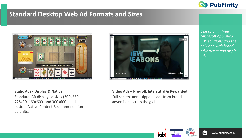

### **Standard Desktop Web Ad Formats and Sizes**





#### **Static Ads - Display & Native**

Standard IAB display ad sizes (300x250, 728x90, 160x600, and 300x600), and custom Native Content Recommendation ad units.

**Video Ads – Pre-roll, Interstitial & Rewarded** Full screen, non-skippable ads from brand advertisers across the globe.

*One of only three Microsoft approved SDK solutions and the only one with brand advertisers and display ads.*